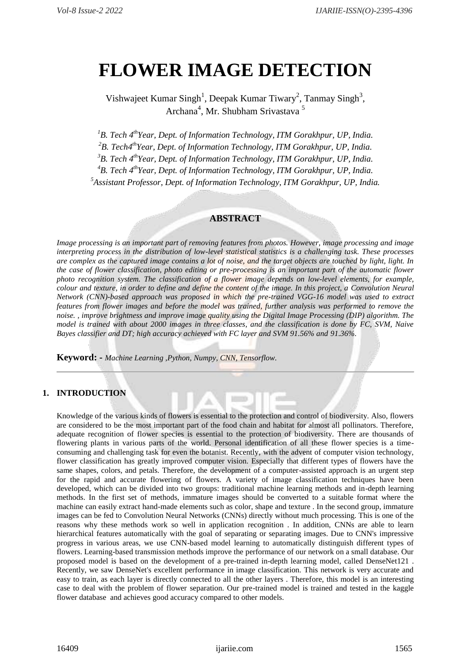# **FLOWER IMAGE DETECTION**

Vishwajeet Kumar Singh<sup>1</sup>, Deepak Kumar Tiwary<sup>2</sup>, Tanmay Singh<sup>3</sup>, Archana<sup>4</sup>, Mr. Shubham Srivastava<sup>5</sup>

*<sup>1</sup>B. Tech 4 thYear, Dept. of Information Technology, ITM Gorakhpur, UP, India.*

*<sup>2</sup>B. Tech4 thYear, Dept. of Information Technology, ITM Gorakhpur, UP, India.*

*<sup>3</sup>B. Tech 4 thYear, Dept. of Information Technology, ITM Gorakhpur, UP, India.*

*<sup>4</sup>B. Tech 4 thYear, Dept. of Information Technology, ITM Gorakhpur, UP, India.*

*5 Assistant Professor, Dept. of Information Technology, ITM Gorakhpur, UP, India.*

# **ABSTRACT**

*Image processing is an important part of removing features from photos. However, image processing and image interpreting process in the distribution of low-level statistical statistics is a challenging task. These processes are complex as the captured image contains a lot of noise, and the target objects are touched by light, light. In the case of flower classification, photo editing or pre-processing is an important part of the automatic flower photo recognition system. The classification of a flower image depends on low-level elements, for example, colour and texture, in order to define and define the content of the image. In this project, a Convolution Neural Network (CNN)-based approach was proposed in which the pre-trained VGG-16 model was used to extract features from flower images and before the model was trained, further analysis was performed to remove the noise. , improve brightness and improve image quality using the Digital Image Processing (DIP) algorithm. The model is trained with about 2000 images in three classes, and the classification is done by FC, SVM, Naive Bayes classifier and DT; high accuracy achieved with FC layer and SVM 91.56% and 91.36%.*

**Keyword: -** *Machine Learning ,Python, Numpy, CNN, Tensorflow.*

# **1. INTRODUCTION**

Knowledge of the various kinds of flowers is essential to the protection and control of biodiversity. Also, flowers are considered to be the most important part of the food chain and habitat for almost all pollinators. Therefore, adequate recognition of flower species is essential to the protection of biodiversity. There are thousands of flowering plants in various parts of the world. Personal identification of all these flower species is a timeconsuming and challenging task for even the botanist. Recently, with the advent of computer vision technology, flower classification has greatly improved computer vision. Especially that different types of flowers have the same shapes, colors, and petals. Therefore, the development of a computer-assisted approach is an urgent step for the rapid and accurate flowering of flowers. A variety of image classification techniques have been developed, which can be divided into two groups: traditional machine learning methods and in-depth learning methods. In the first set of methods, immature images should be converted to a suitable format where the machine can easily extract hand-made elements such as color, shape and texture . In the second group, immature images can be fed to Convolution Neural Networks (CNNs) directly without much processing. This is one of the reasons why these methods work so well in application recognition . In addition, CNNs are able to learn hierarchical features automatically with the goal of separating or separating images. Due to CNN's impressive progress in various areas, we use CNN-based model learning to automatically distinguish different types of flowers. Learning-based transmission methods improve the performance of our network on a small database. Our proposed model is based on the development of a pre-trained in-depth learning model, called DenseNet121 . Recently, we saw DenseNet's excellent performance in image classification. This network is very accurate and easy to train, as each layer is directly connected to all the other layers . Therefore, this model is an interesting case to deal with the problem of flower separation. Our pre-trained model is trained and tested in the kaggle flower database and achieves good accuracy compared to other models.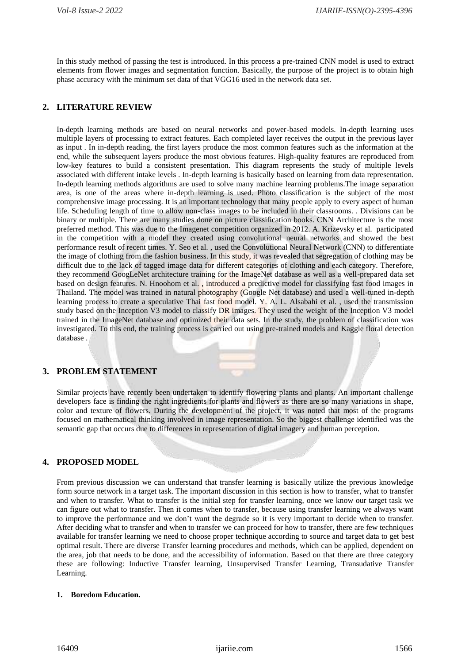In this study method of passing the test is introduced. In this process a pre-trained CNN model is used to extract elements from flower images and segmentation function. Basically, the purpose of the project is to obtain high phase accuracy with the minimum set data of that VGG16 used in the network data set.

# **2. LITERATURE REVIEW**

In-depth learning methods are based on neural networks and power-based models. In-depth learning uses multiple layers of processing to extract features. Each completed layer receives the output in the previous layer as input . In in-depth reading, the first layers produce the most common features such as the information at the end, while the subsequent layers produce the most obvious features. High-quality features are reproduced from low-key features to build a consistent presentation. This diagram represents the study of multiple levels associated with different intake levels . In-depth learning is basically based on learning from data representation. In-depth learning methods algorithms are used to solve many machine learning problems.The image separation area, is one of the areas where in-depth learning is used. Photo classification is the subject of the most comprehensive image processing. It is an important technology that many people apply to every aspect of human life. Scheduling length of time to allow non-class images to be included in their classrooms. . Divisions can be binary or multiple. There are many studies done on picture classification books. CNN Architecture is the most preferred method. This was due to the Imagenet competition organized in 2012. A. Krizevsky et al. participated in the competition with a model they created using convolutional neural networks and showed the best performance result of recent times. Y. Seo et al. , used the Convolutional Neural Network (CNN) to differentiate the image of clothing from the fashion business. In this study, it was revealed that segregation of clothing may be difficult due to the lack of tagged image data for different categories of clothing and each category. Therefore, they recommend GoogLeNet architecture training for the ImageNet database as well as a well-prepared data set based on design features. N. Hnoohom et al. , introduced a predictive model for classifying fast food images in Thailand. The model was trained in natural photography (Google Net database) and used a well-tuned in-depth learning process to create a speculative Thai fast food model. Y. A. L. Alsabahi et al. , used the transmission study based on the Inception V3 model to classify DR images. They used the weight of the Inception V3 model trained in the ImageNet database and optimized their data sets. In the study, the problem of classification was investigated. To this end, the training process is carried out using pre-trained models and Kaggle floral detection database .

# **3. PROBLEM STATEMENT**

Similar projects have recently been undertaken to identify flowering plants and plants. An important challenge developers face is finding the right ingredients for plants and flowers as there are so many variations in shape, color and texture of flowers. During the development of the project, it was noted that most of the programs focused on mathematical thinking involved in image representation. So the biggest challenge identified was the semantic gap that occurs due to differences in representation of digital imagery and human perception.

# **4. PROPOSED MODEL**

From previous discussion we can understand that transfer learning is basically utilize the previous knowledge form source network in a target task. The important discussion in this section is how to transfer, what to transfer and when to transfer. What to transfer is the initial step for transfer learning, once we know our target task we can figure out what to transfer. Then it comes when to transfer, because using transfer learning we always want to improve the performance and we don't want the degrade so it is very important to decide when to transfer. After deciding what to transfer and when to transfer we can proceed for how to transfer, there are few techniques available for transfer learning we need to choose proper technique according to source and target data to get best optimal result. There are diverse Transfer learning procedures and methods, which can be applied, dependent on the area, job that needs to be done, and the accessibility of information. Based on that there are three category these are following: Inductive Transfer learning, Unsupervised Transfer Learning, Transudative Transfer Learning.

#### **1. Boredom Education.**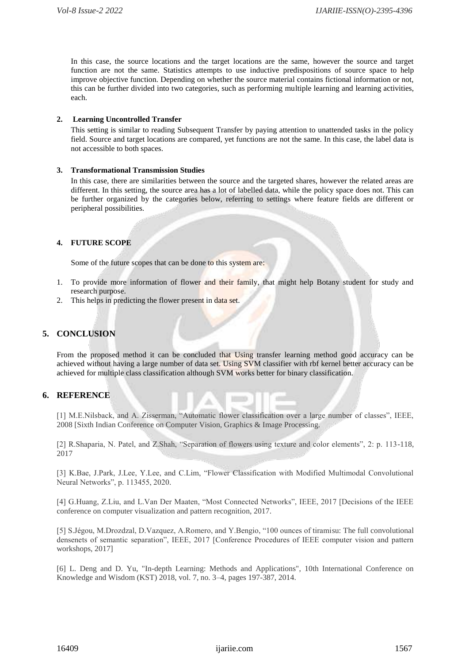In this case, the source locations and the target locations are the same, however the source and target function are not the same. Statistics attempts to use inductive predispositions of source space to help improve objective function. Depending on whether the source material contains fictional information or not, this can be further divided into two categories, such as performing multiple learning and learning activities, each.

#### **2. Learning Uncontrolled Transfer**

This setting is similar to reading Subsequent Transfer by paying attention to unattended tasks in the policy field. Source and target locations are compared, yet functions are not the same. In this case, the label data is not accessible to both spaces.

#### **3. Transformational Transmission Studies**

In this case, there are similarities between the source and the targeted shares, however the related areas are different. In this setting, the source area has a lot of labelled data, while the policy space does not. This can be further organized by the categories below, referring to settings where feature fields are different or peripheral possibilities.

# **4. FUTURE SCOPE**

Some of the future scopes that can be done to this system are:

- 1. To provide more information of flower and their family, that might help Botany student for study and research purpose.
- 2. This helps in predicting the flower present in data set.

# **5. CONCLUSION**

From the proposed method it can be concluded that Using transfer learning method good accuracy can be achieved without having a large number of data set. Using SVM classifier with rbf kernel better accuracy can be achieved for multiple class classification although SVM works better for binary classification.

# **6. REFERENCE**

[1] M.E.Nilsback, and A. Zisserman, "Automatic flower classification over a large number of classes", IEEE, 2008 [Sixth Indian Conference on Computer Vision, Graphics & Image Processing.

[2] R.Shaparia, N. Patel, and Z.Shah, "Separation of flowers using texture and color elements", 2: p. 113-118, 2017

[3] K.Bae, J.Park, J.Lee, Y.Lee, and C.Lim, "Flower Classification with Modified Multimodal Convolutional Neural Networks", p. 113455, 2020.

[4] G.Huang, Z.Liu, and L.Van Der Maaten, "Most Connected Networks", IEEE, 2017 [Decisions of the IEEE conference on computer visualization and pattern recognition, 2017.

[5] S.Jégou, M.Drozdzal, D.Vazquez, A.Romero, and Y.Bengio, "100 ounces of tiramisu: The full convolutional densenets of semantic separation", IEEE, 2017 [Conference Procedures of IEEE computer vision and pattern workshops, 2017]

[6] L. Deng and D. Yu, "In-depth Learning: Methods and Applications", 10th International Conference on Knowledge and Wisdom (KST) 2018, vol. 7, no. 3–4, pages 197-387, 2014.